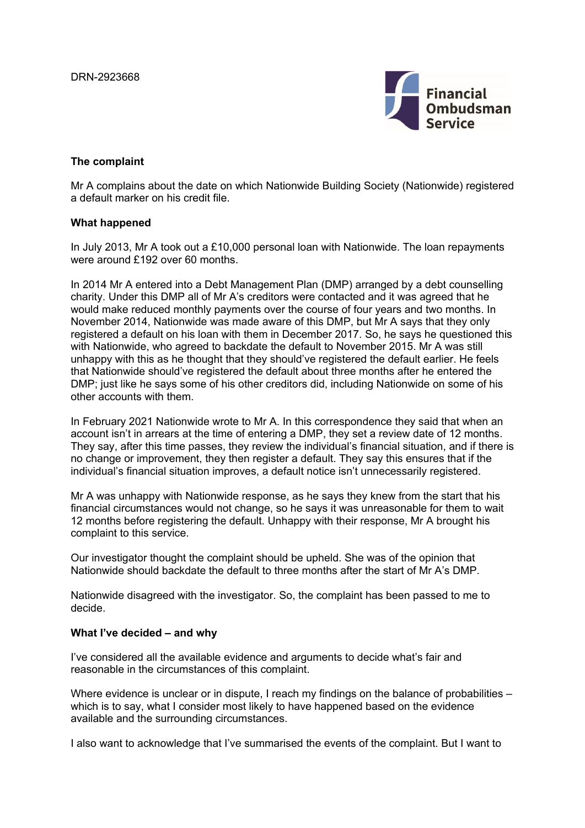

## **The complaint**

Mr A complains about the date on which Nationwide Building Society (Nationwide) registered a default marker on his credit file.

## **What happened**

In July 2013, Mr A took out a £10,000 personal loan with Nationwide. The loan repayments were around £192 over 60 months.

In 2014 Mr A entered into a Debt Management Plan (DMP) arranged by a debt counselling charity. Under this DMP all of Mr A's creditors were contacted and it was agreed that he would make reduced monthly payments over the course of four years and two months. In November 2014, Nationwide was made aware of this DMP, but Mr A says that they only registered a default on his loan with them in December 2017. So, he says he questioned this with Nationwide, who agreed to backdate the default to November 2015. Mr A was still unhappy with this as he thought that they should've registered the default earlier. He feels that Nationwide should've registered the default about three months after he entered the DMP; just like he says some of his other creditors did, including Nationwide on some of his other accounts with them.

In February 2021 Nationwide wrote to Mr A. In this correspondence they said that when an account isn't in arrears at the time of entering a DMP, they set a review date of 12 months. They say, after this time passes, they review the individual's financial situation, and if there is no change or improvement, they then register a default. They say this ensures that if the individual's financial situation improves, a default notice isn't unnecessarily registered.

Mr A was unhappy with Nationwide response, as he says they knew from the start that his financial circumstances would not change, so he says it was unreasonable for them to wait 12 months before registering the default. Unhappy with their response, Mr A brought his complaint to this service.

Our investigator thought the complaint should be upheld. She was of the opinion that Nationwide should backdate the default to three months after the start of Mr A's DMP.

Nationwide disagreed with the investigator. So, the complaint has been passed to me to decide.

## **What I've decided – and why**

I've considered all the available evidence and arguments to decide what's fair and reasonable in the circumstances of this complaint.

Where evidence is unclear or in dispute, I reach my findings on the balance of probabilities – which is to say, what I consider most likely to have happened based on the evidence available and the surrounding circumstances.

I also want to acknowledge that I've summarised the events of the complaint. But I want to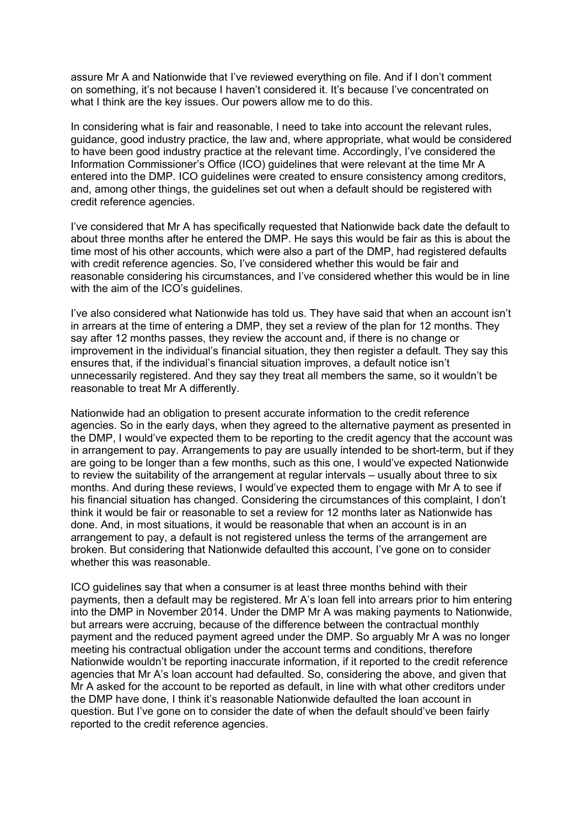assure Mr A and Nationwide that I've reviewed everything on file. And if I don't comment on something, it's not because I haven't considered it. It's because I've concentrated on what I think are the key issues. Our powers allow me to do this.

In considering what is fair and reasonable, I need to take into account the relevant rules, guidance, good industry practice, the law and, where appropriate, what would be considered to have been good industry practice at the relevant time. Accordingly, I've considered the Information Commissioner's Office (ICO) guidelines that were relevant at the time Mr A entered into the DMP. ICO guidelines were created to ensure consistency among creditors, and, among other things, the guidelines set out when a default should be registered with credit reference agencies.

I've considered that Mr A has specifically requested that Nationwide back date the default to about three months after he entered the DMP. He says this would be fair as this is about the time most of his other accounts, which were also a part of the DMP, had registered defaults with credit reference agencies. So, I've considered whether this would be fair and reasonable considering his circumstances, and I've considered whether this would be in line with the aim of the ICO's guidelines.

I've also considered what Nationwide has told us. They have said that when an account isn't in arrears at the time of entering a DMP, they set a review of the plan for 12 months. They say after 12 months passes, they review the account and, if there is no change or improvement in the individual's financial situation, they then register a default. They say this ensures that, if the individual's financial situation improves, a default notice isn't unnecessarily registered. And they say they treat all members the same, so it wouldn't be reasonable to treat Mr A differently.

Nationwide had an obligation to present accurate information to the credit reference agencies. So in the early days, when they agreed to the alternative payment as presented in the DMP, I would've expected them to be reporting to the credit agency that the account was in arrangement to pay. Arrangements to pay are usually intended to be short-term, but if they are going to be longer than a few months, such as this one, I would've expected Nationwide to review the suitability of the arrangement at regular intervals – usually about three to six months. And during these reviews, I would've expected them to engage with Mr A to see if his financial situation has changed. Considering the circumstances of this complaint, I don't think it would be fair or reasonable to set a review for 12 months later as Nationwide has done. And, in most situations, it would be reasonable that when an account is in an arrangement to pay, a default is not registered unless the terms of the arrangement are broken. But considering that Nationwide defaulted this account, I've gone on to consider whether this was reasonable.

ICO guidelines say that when a consumer is at least three months behind with their payments, then a default may be registered. Mr A's loan fell into arrears prior to him entering into the DMP in November 2014. Under the DMP Mr A was making payments to Nationwide, but arrears were accruing, because of the difference between the contractual monthly payment and the reduced payment agreed under the DMP. So arguably Mr A was no longer meeting his contractual obligation under the account terms and conditions, therefore Nationwide wouldn't be reporting inaccurate information, if it reported to the credit reference agencies that Mr A's loan account had defaulted. So, considering the above, and given that Mr A asked for the account to be reported as default, in line with what other creditors under the DMP have done, I think it's reasonable Nationwide defaulted the loan account in question. But I've gone on to consider the date of when the default should've been fairly reported to the credit reference agencies.